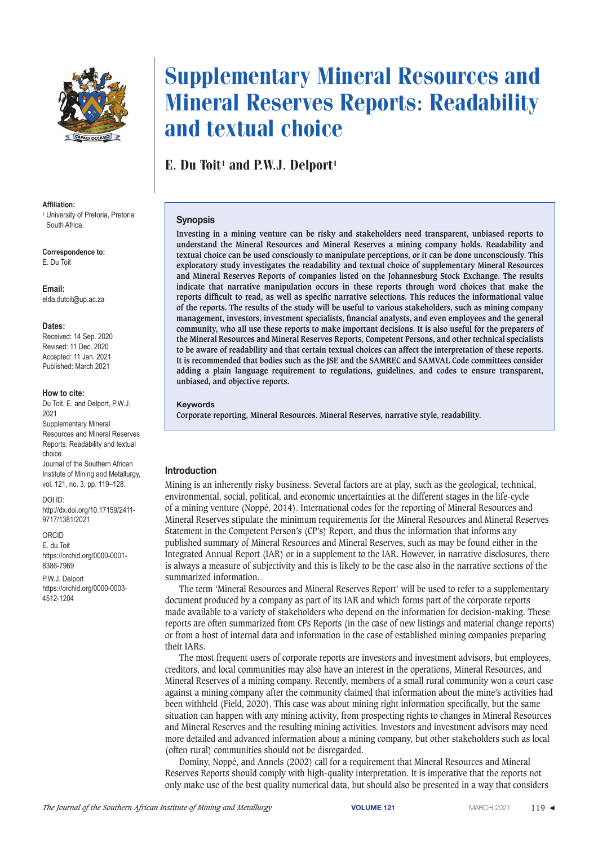

#### **Affiliation:**

<sup>1</sup> University of Pretoria, Pretoria South Africa.

**Correspondence to:** E. Du Toit

**Email:** elda.dutoit@up.ac.za

#### **Dates:**

Received: 14 Sep. 2020 Revised: 11 Dec. 2020 Accepted: 11 Jan. 2021 Published: March 2021

#### **How to cite:**

Du Toit, E. and Delport, P.W.J. 2021 Supplementary Mineral Resources and Mineral Reserves Reports: Readability and textual choice. Journal of the Southern African

Institute of Mining and Metallurgy, vol. 121, no. 3, pp. 119–128.

DOI ID: http://dx.doi.org/10.17159/2411- 9717/1381/2021

#### ORCID

E. du Toit https://orchid.org/0000-0001- 8386-7969

P.W.J. Delport https://orchid.org/0000-0003- 4512-1204

# Supplementary Mineral Resources and Mineral Reserves Reports: Readability and textual choice

E. Du Toit<sup>1</sup> and P.W.J. Delport<sup>1</sup>

#### **Synopsis**

**Investing in a mining venture can be risky and stakeholders need transparent, unbiased reports to understand the Mineral Resources and Mineral Reserves a mining company holds. Readability and textual choice can be used consciously to manipulate perceptions, or it can be done unconsciously. This exploratory study investigates the readability and textual choice of supplementary Mineral Resources and Mineral Reserves Reports of companies listed on the Johannesburg Stock Exchange. The results indicate that narrative manipulation occurs in these reports through word choices that make the reports difficult to read, as well as specific narrative selections. This reduces the informational value of the reports. The results of the study will be useful to various stakeholders, such as mining company management, investors, investment specialists, financial analysts, and even employees and the general community, who all use these reports to make important decisions. It is also useful for the preparers of the Mineral Resources and Mineral Reserves Reports, Competent Persons, and other technical specialists to be aware of readability and that certain textual choices can affect the interpretation of these reports. It is recommended that bodies such as the JSE and the SAMREC and SAMVAL Code committees consider adding a plain language requirement to regulations, guidelines, and codes to ensure transparent, unbiased, and objective reports.**

#### **Keywords**

**Corporate reporting, Mineral Resources. Mineral Reserves, narrative style, readability.**

### **Introduction**

Mining is an inherently risky business. Several factors are at play, such as the geological, technical, environmental, social, political, and economic uncertainties at the different stages in the life-cycle of a mining venture (Noppé, 2014). International codes for the reporting of Mineral Resources and Mineral Reserves stipulate the minimum requirements for the Mineral Resources and Mineral Reserves Statement in the Competent Person's (CP's) Report, and thus the information that informs any published summary of Mineral Resources and Mineral Reserves, such as may be found either in the Integrated Annual Report (IAR) or in a supplement to the IAR. However, in narrative disclosures, there is always a measure of subjectivity and this is likely to be the case also in the narrative sections of the summarized information.

The term 'Mineral Resources and Mineral Reserves Report' will be used to refer to a supplementary document produced by a company as part of its IAR and which forms part of the corporate reports made available to a variety of stakeholders who depend on the information for decision-making. These reports are often summarized from CPs Reports (in the case of new listings and material change reports) or from a host of internal data and information in the case of established mining companies preparing their IARs.

The most frequent users of corporate reports are investors and investment advisors, but employees, creditors, and local communities may also have an interest in the operations, Mineral Resources, and Mineral Reserves of a mining company. Recently, members of a small rural community won a court case against a mining company after the community claimed that information about the mine's activities had been withheld (Field, 2020). This case was about mining right information specifically, but the same situation can happen with any mining activity, from prospecting rights to changes in Mineral Resources and Mineral Reserves and the resulting mining activities. Investors and investment advisors may need more detailed and advanced information about a mining company, but other stakeholders such as local (often rural) communities should not be disregarded.

Dominy, Noppé, and Annels (2002) call for a requirement that Mineral Resources and Mineral Reserves Reports should comply with high-quality interpretation. It is imperative that the reports not only make use of the best quality numerical data, but should also be presented in a way that considers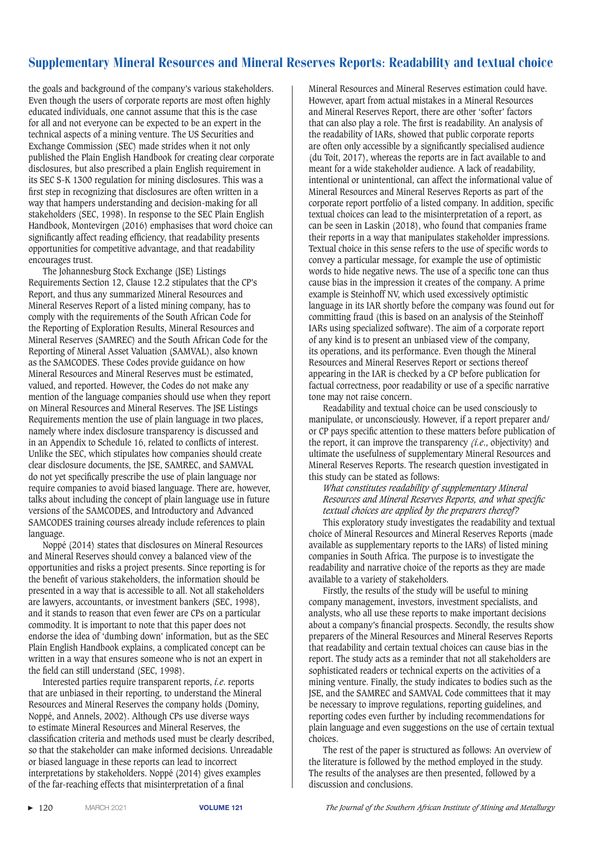the goals and background of the company's various stakeholders. Even though the users of corporate reports are most often highly educated individuals, one cannot assume that this is the case for all and not everyone can be expected to be an expert in the technical aspects of a mining venture. The US Securities and Exchange Commission (SEC) made strides when it not only published the Plain English Handbook for creating clear corporate disclosures, but also prescribed a plain English requirement in its SEC S-K 1300 regulation for mining disclosures. This was a first step in recognizing that disclosures are often written in a way that hampers understanding and decision-making for all stakeholders (SEC, 1998). In response to the SEC Plain English Handbook, Montevirgen (2016) emphasises that word choice can significantly affect reading efficiency, that readability presents opportunities for competitive advantage, and that readability encourages trust.

The Johannesburg Stock Exchange (JSE) Listings Requirements Section 12, Clause 12.2 stipulates that the CP's Report, and thus any summarized Mineral Resources and Mineral Reserves Report of a listed mining company, has to comply with the requirements of the South African Code for the Reporting of Exploration Results, Mineral Resources and Mineral Reserves (SAMREC) and the South African Code for the Reporting of Mineral Asset Valuation (SAMVAL), also known as the SAMCODES. These Codes provide guidance on how Mineral Resources and Mineral Reserves must be estimated, valued, and reported. However, the Codes do not make any mention of the language companies should use when they report on Mineral Resources and Mineral Reserves. The JSE Listings Requirements mention the use of plain language in two places, namely where index disclosure transparency is discussed and in an Appendix to Schedule 16, related to conflicts of interest. Unlike the SEC, which stipulates how companies should create clear disclosure documents, the JSE, SAMREC, and SAMVAL do not yet specifically prescribe the use of plain language nor require companies to avoid biased language. There are, however, talks about including the concept of plain language use in future versions of the SAMCODES, and Introductory and Advanced SAMCODES training courses already include references to plain language.

Noppé (2014) states that disclosures on Mineral Resources and Mineral Reserves should convey a balanced view of the opportunities and risks a project presents. Since reporting is for the benefit of various stakeholders, the information should be presented in a way that is accessible to all. Not all stakeholders are lawyers, accountants, or investment bankers (SEC, 1998), and it stands to reason that even fewer are CPs on a particular commodity. It is important to note that this paper does not endorse the idea of 'dumbing down' information, but as the SEC Plain English Handbook explains, a complicated concept can be written in a way that ensures someone who is not an expert in the field can still understand (SEC, 1998).

Interested parties require transparent reports, *i.e*. reports that are unbiased in their reporting, to understand the Mineral Resources and Mineral Reserves the company holds (Dominy, Noppé, and Annels, 2002). Although CPs use diverse ways to estimate Mineral Resources and Mineral Reserves, the classification criteria and methods used must be clearly described, so that the stakeholder can make informed decisions. Unreadable or biased language in these reports can lead to incorrect interpretations by stakeholders. Noppé (2014) gives examples of the far-reaching effects that misinterpretation of a final

Mineral Resources and Mineral Reserves estimation could have. However, apart from actual mistakes in a Mineral Resources and Mineral Reserves Report, there are other 'softer' factors that can also play a role. The first is readability. An analysis of the readability of IARs, showed that public corporate reports are often only accessible by a significantly specialised audience (du Toit, 2017), whereas the reports are in fact available to and meant for a wide stakeholder audience. A lack of readability, intentional or unintentional, can affect the informational value of Mineral Resources and Mineral Reserves Reports as part of the corporate report portfolio of a listed company. In addition, specific textual choices can lead to the misinterpretation of a report, as can be seen in Laskin (2018), who found that companies frame their reports in a way that manipulates stakeholder impressions. Textual choice in this sense refers to the use of specific words to convey a particular message, for example the use of optimistic words to hide negative news. The use of a specific tone can thus cause bias in the impression it creates of the company. A prime example is Steinhoff NV, which used excessively optimistic language in its IAR shortly before the company was found out for committing fraud (this is based on an analysis of the Steinhoff IARs using specialized software). The aim of a corporate report of any kind is to present an unbiased view of the company, its operations, and its performance. Even though the Mineral Resources and Mineral Reserves Report or sections thereof appearing in the IAR is checked by a CP before publication for factual correctness, poor readability or use of a specific narrative tone may not raise concern.

Readability and textual choice can be used consciously to manipulate, or unconsciously. However, if a report preparer and/ or CP pays specific attention to these matters before publication of the report, it can improve the transparency *(i.e*., objectivity) and ultimate the usefulness of supplementary Mineral Resources and Mineral Reserves Reports. The research question investigated in this study can be stated as follows:

*What constitutes readability of supplementary Mineral Resources and Mineral Reserves Reports, and what specific textual choices are applied by the preparers thereof?*

This exploratory study investigates the readability and textual choice of Mineral Resources and Mineral Reserves Reports (made available as supplementary reports to the IARs) of listed mining companies in South Africa. The purpose is to investigate the readability and narrative choice of the reports as they are made available to a variety of stakeholders.

Firstly, the results of the study will be useful to mining company management, investors, investment specialists, and analysts, who all use these reports to make important decisions about a company's financial prospects. Secondly, the results show preparers of the Mineral Resources and Mineral Reserves Reports that readability and certain textual choices can cause bias in the report. The study acts as a reminder that not all stakeholders are sophisticated readers or technical experts on the activities of a mining venture. Finally, the study indicates to bodies such as the JSE, and the SAMREC and SAMVAL Code committees that it may be necessary to improve regulations, reporting guidelines, and reporting codes even further by including recommendations for plain language and even suggestions on the use of certain textual choices.

The rest of the paper is structured as follows: An overview of the literature is followed by the method employed in the study. The results of the analyses are then presented, followed by a discussion and conclusions.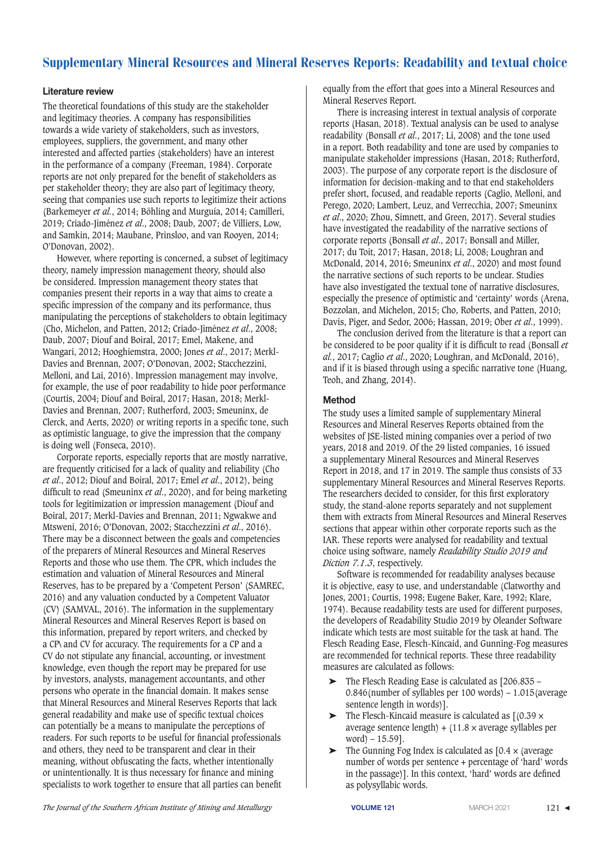### **Literature review**

The theoretical foundations of this study are the stakeholder and legitimacy theories. A company has responsibilities towards a wide variety of stakeholders, such as investors, employees, suppliers, the government, and many other interested and affected parties (stakeholders) have an interest in the performance of a company (Freeman, 1984). Corporate reports are not only prepared for the benefit of stakeholders as per stakeholder theory; they are also part of legitimacy theory, seeing that companies use such reports to legitimize their actions (Barkemeyer *et al.*, 2014; Böhling and Murguía, 2014; Camilleri, 2019; Criado-Jiménez *et al*., 2008; Daub, 2007; de Villiers, Low, and Samkin, 2014; Maubane, Prinsloo, and van Rooyen, 2014; O'Donovan, 2002).

However, where reporting is concerned, a subset of legitimacy theory, namely impression management theory, should also be considered. Impression management theory states that companies present their reports in a way that aims to create a specific impression of the company and its performance, thus manipulating the perceptions of stakeholders to obtain legitimacy (Cho, Michelon, and Patten, 2012; Criado-Jiménez *et al*., 2008; Daub, 2007; Diouf and Boiral, 2017; Emel, Makene, and Wangari, 2012; Hooghiemstra, 2000; Jones *et al*., 2017; Merkl-Davies and Brennan, 2007; O'Donovan, 2002; Stacchezzini, Melloni, and Lai, 2016). Impression management may involve, for example, the use of poor readability to hide poor performance (Courtis, 2004; Diouf and Boiral, 2017; Hasan, 2018; Merkl-Davies and Brennan, 2007; Rutherford, 2003; Smeuninx, de Clerck, and Aerts, 2020) or writing reports in a specific tone, such as optimistic language, to give the impression that the company is doing well (Fonseca, 2010).

Corporate reports, especially reports that are mostly narrative, are frequently criticised for a lack of quality and reliability (Cho *et al*., 2012; Diouf and Boiral, 2017; Emel *et al*., 2012), being difficult to read (Smeuninx *et al*., 2020), and for being marketing tools for legitimization or impression management (Diouf and Boiral, 2017; Merkl-Davies and Brennan, 2011; Ngwakwe and Mtsweni, 2016; O'Donovan, 2002; Stacchezzini *et al*., 2016). There may be a disconnect between the goals and competencies of the preparers of Mineral Resources and Mineral Reserves Reports and those who use them. The CPR, which includes the estimation and valuation of Mineral Resources and Mineral Reserves, has to be prepared by a 'Competent Person' (SAMREC, 2016) and any valuation conducted by a Competent Valuator (CV) (SAMVAL, 2016). The information in the supplementary Mineral Resources and Mineral Reserves Report is based on this information, prepared by report writers, and checked by a CP\ and CV for accuracy. The requirements for a CP and a CV do not stipulate any financial, accounting, or investment knowledge, even though the report may be prepared for use by investors, analysts, management accountants, and other persons who operate in the financial domain. It makes sense that Mineral Resources and Mineral Reserves Reports that lack general readability and make use of specific textual choices can potentially be a means to manipulate the perceptions of readers. For such reports to be useful for financial professionals and others, they need to be transparent and clear in their meaning, without obfuscating the facts, whether intentionally or unintentionally. It is thus necessary for finance and mining specialists to work together to ensure that all parties can benefit

equally from the effort that goes into a Mineral Resources and Mineral Reserves Report.

There is increasing interest in textual analysis of corporate reports (Hasan, 2018). Textual analysis can be used to analyse readability (Bonsall *et al*., 2017; Li, 2008) and the tone used in a report. Both readability and tone are used by companies to manipulate stakeholder impressions (Hasan, 2018; Rutherford, 2003). The purpose of any corporate report is the disclosure of information for decision-making and to that end stakeholders prefer short, focused, and readable reports (Caglio, Melloni, and Perego, 2020; Lambert, Leuz, and Verrecchia, 2007; Smeuninx *et al*., 2020; Zhou, Simnett, and Green, 2017). Several studies have investigated the readability of the narrative sections of corporate reports (Bonsall *et al*., 2017; Bonsall and Miller, 2017; du Toit, 2017; Hasan, 2018; Li, 2008; Loughran and McDonald, 2014, 2016; Smeuninx *et al*., 2020) and most found the narrative sections of such reports to be unclear. Studies have also investigated the textual tone of narrative disclosures, especially the presence of optimistic and 'certainty' words (Arena, Bozzolan, and Michelon, 2015; Cho, Roberts, and Patten, 2010; Davis, Piger, and Sedor, 2006; Hassan, 2019; Ober *et al*., 1999).

The conclusion derived from the literature is that a report can be considered to be poor quality if it is difficult to read (Bonsall *et al.*, 2017; Caglio *et al*., 2020; Loughran, and McDonald, 2016), and if it is biased through using a specific narrative tone (Huang, Teoh, and Zhang, 2014).

### **Method**

The study uses a limited sample of supplementary Mineral Resources and Mineral Reserves Reports obtained from the websites of JSE-listed mining companies over a period of two years, 2018 and 2019. Of the 29 listed companies, 16 issued a supplementary Mineral Resources and Mineral Reserves Report in 2018, and 17 in 2019. The sample thus consists of 33 supplementary Mineral Resources and Mineral Reserves Reports. The researchers decided to consider, for this first exploratory study, the stand-alone reports separately and not supplement them with extracts from Mineral Resources and Mineral Reserves sections that appear within other corporate reports such as the IAR. These reports were analysed for readability and textual choice using software, namely *Readability Studio 2019 and Diction 7.1.3*, respectively.

Software is recommended for readability analyses because it is objective, easy to use, and understandable (Clatworthy and Jones, 2001; Courtis, 1998; Eugene Baker, Kare, 1992; Klare, 1974). Because readability tests are used for different purposes, the developers of Readability Studio 2019 by Oleander Software indicate which tests are most suitable for the task at hand. The Flesch Reading Ease, Flesch-Kincaid, and Gunning-Fog measures are recommended for technical reports. These three readability measures are calculated as follows:

- ➤ The Flesch Reading Ease is calculated as [206.835 0.846(number of syllables per 100 words) – 1.015(average sentence length in words)].
- $\blacktriangleright$  The Flesch-Kincaid measure is calculated as  $[(0.39 \times$ average sentence length)  $+ (11.8 \times \text{average syllables per})$ word) – 15.59].
- $\blacktriangleright$  The Gunning Fog Index is calculated as [0.4  $\times$  (average number of words per sentence + percentage of 'hard' words in the passage)]. In this context, 'hard' words are defined as polysyllabic words.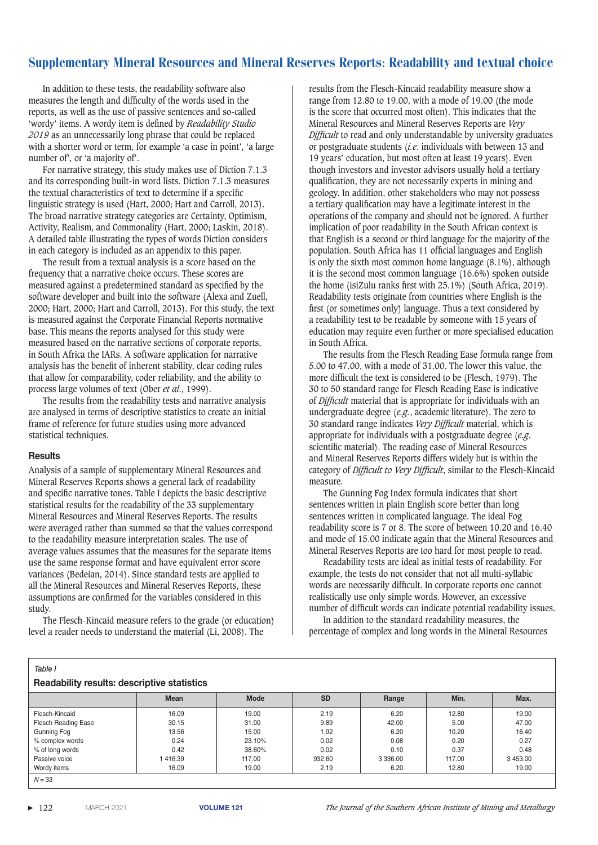In addition to these tests, the readability software also measures the length and difficulty of the words used in the reports, as well as the use of passive sentences and so-called 'wordy' items. A wordy item is defined by *Readability Studio 2019* as an unnecessarily long phrase that could be replaced with a shorter word or term, for example 'a case in point', 'a large number of', or 'a majority of'.

For narrative strategy, this study makes use of Diction 7.1.3 and its corresponding built-in word lists. Diction 7.1.3 measures the textual characteristics of text to determine if a specific linguistic strategy is used (Hart, 2000; Hart and Carroll, 2013). The broad narrative strategy categories are Certainty, Optimism, Activity, Realism, and Commonality (Hart, 2000; Laskin, 2018). A detailed table illustrating the types of words Diction considers in each category is included as an appendix to this paper.

The result from a textual analysis is a score based on the frequency that a narrative choice occurs. These scores are measured against a predetermined standard as specified by the software developer and built into the software (Alexa and Zuell, 2000; Hart, 2000; Hart and Carroll, 2013). For this study, the text is measured against the Corporate Financial Reports normative base. This means the reports analysed for this study were measured based on the narrative sections of corporate reports, in South Africa the IARs. A software application for narrative analysis has the benefit of inherent stability, clear coding rules that allow for comparability, coder reliability, and the ability to process large volumes of text (Ober *et al*., 1999).

The results from the readability tests and narrative analysis are analysed in terms of descriptive statistics to create an initial frame of reference for future studies using more advanced statistical techniques.

### **Results**

Analysis of a sample of supplementary Mineral Resources and Mineral Reserves Reports shows a general lack of readability and specific narrative tones. Table I depicts the basic descriptive statistical results for the readability of the 33 supplementary Mineral Resources and Mineral Reserves Reports. The results were averaged rather than summed so that the values correspond to the readability measure interpretation scales. The use of average values assumes that the measures for the separate items use the same response format and have equivalent error score variances (Bedeian, 2014). Since standard tests are applied to all the Mineral Resources and Mineral Reserves Reports, these assumptions are confirmed for the variables considered in this study.

The Flesch-Kincaid measure refers to the grade (or education) level a reader needs to understand the material (Li, 2008). The

results from the Flesch-Kincaid readability measure show a range from 12.80 to 19.00, with a mode of 19.00 (the mode is the score that occurred most often). This indicates that the Mineral Resources and Mineral Reserves Reports are *Very Difficult* to read and only understandable by university graduates or postgraduate students (*i.e*. individuals with between 13 and 19 years' education, but most often at least 19 years). Even though investors and investor advisors usually hold a tertiary qualification, they are not necessarily experts in mining and geology. In addition, other stakeholders who may not possess a tertiary qualification may have a legitimate interest in the operations of the company and should not be ignored. A further implication of poor readability in the South African context is that English is a second or third language for the majority of the population. South Africa has 11 official languages and English is only the sixth most common home language (8.1%), although it is the second most common language (16.6%) spoken outside the home (isiZulu ranks first with 25.1%) (South Africa, 2019). Readability tests originate from countries where English is the first (or sometimes only) language. Thus a text considered by a readability test to be readable by someone with 15 years of education may require even further or more specialised education in South Africa.

The results from the Flesch Reading Ease formula range from 5.00 to 47.00, with a mode of 31.00. The lower this value, the more difficult the text is considered to be (Flesch, 1979). The 30 to 50 standard range for Flesch Reading Ease is indicative of *Difficult* material that is appropriate for individuals with an undergraduate degree (*e.g.*, academic literature). The zero to 30 standard range indicates *Very Difficult* material, which is appropriate for individuals with a postgraduate degree (*e.g*. scientific material). The reading ease of Mineral Resources and Mineral Reserves Reports differs widely but is within the category of *Difficult to Very Difficult*, similar to the Flesch-Kincaid measure.

The Gunning Fog Index formula indicates that short sentences written in plain English score better than long sentences written in complicated language. The ideal Fog readability score is 7 or 8. The score of between 10.20 and 16.40 and mode of 15.00 indicate again that the Mineral Resources and Mineral Reserves Reports are too hard for most people to read.

Readability tests are ideal as initial tests of readability. For example, the tests do not consider that not all multi-syllabic words are necessarily difficult. In corporate reports one cannot realistically use only simple words. However, an excessive number of difficult words can indicate potential readability issues.

In addition to the standard readability measures, the percentage of complex and long words in the Mineral Resources

| <b>Readability results: descriptive statistics</b> |             |             |           |               |        |          |
|----------------------------------------------------|-------------|-------------|-----------|---------------|--------|----------|
|                                                    | <b>Mean</b> | <b>Mode</b> | <b>SD</b> | Range         | Min.   | Max.     |
| Flesch-Kincaid                                     | 16.09       | 19.00       | 2.19      | 6.20          | 12.80  | 19.00    |
| <b>Flesch Reading Ease</b>                         | 30.15       | 31.00       | 9.89      | 42.00         | 5.00   | 47.00    |
| Gunning Fog                                        | 13.56       | 15.00       | 1.92      | 6.20          | 10.20  | 16.40    |
| % complex words                                    | 0.24        | 23.10%      | 0.02      | 0.08          | 0.20   | 0.27     |
| % of long words                                    | 0.42        | 38.60%      | 0.02      | 0.10          | 0.37   | 0.48     |
| Passive voice                                      | 416.39      | 117.00      | 932.60    | 3 3 3 6 . 0 0 | 117.00 | 3 453.00 |
| Wordy items                                        | 16.09       | 19.00       | 2.19      | 6.20          | 12.80  | 19.00    |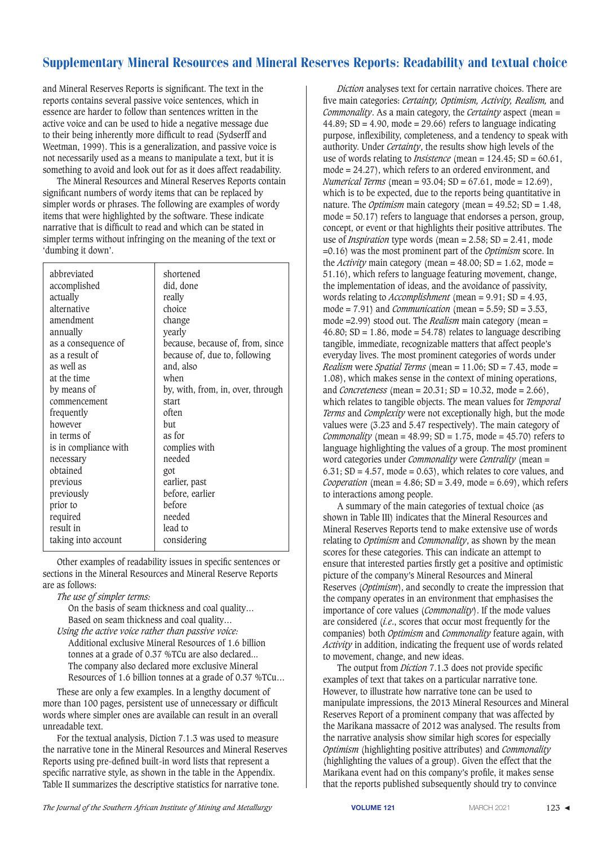and Mineral Reserves Reports is significant. The text in the reports contains several passive voice sentences, which in essence are harder to follow than sentences written in the active voice and can be used to hide a negative message due to their being inherently more difficult to read (Sydserff and Weetman, 1999). This is a generalization, and passive voice is not necessarily used as a means to manipulate a text, but it is something to avoid and look out for as it does affect readability.

The Mineral Resources and Mineral Reserves Reports contain significant numbers of wordy items that can be replaced by simpler words or phrases. The following are examples of wordy items that were highlighted by the software. These indicate narrative that is difficult to read and which can be stated in simpler terms without infringing on the meaning of the text or 'dumbing it down'.

| abbreviated           | shortened                         |
|-----------------------|-----------------------------------|
| accomplished          | did, done                         |
| actually              | really                            |
| alternative           | choice                            |
| amendment             |                                   |
| annually              | change<br>yearly                  |
|                       |                                   |
| as a consequence of   | because, because of, from, since  |
| as a result of        | because of, due to, following     |
| as well as            | and, also                         |
| at the time           | when                              |
| by means of           | by, with, from, in, over, through |
| commencement          | start.                            |
| frequently            | often                             |
| however               | but.                              |
| in terms of           | as for                            |
| is in compliance with | complies with                     |
| necessary             | needed                            |
| obtained              | got                               |
| previous              | earlier, past                     |
| previously            | before, earlier                   |
| prior to              | before                            |
| required              | needed                            |
| result in             | lead to                           |
| taking into account   | considering                       |
|                       |                                   |

Other examples of readability issues in specific sentences or sections in the Mineral Resources and Mineral Reserve Reports are as follows:

*The use of simpler terms:*

On the basis of seam thickness and coal quality… Based on seam thickness and coal quality…

*Using the active voice rather than passive voice:* Additional exclusive Mineral Resources of 1.6 billion tonnes at a grade of 0.37 %TCu are also declared... The company also declared more exclusive Mineral Resources of 1.6 billion tonnes at a grade of 0.37 %TCu…

These are only a few examples. In a lengthy document of more than 100 pages, persistent use of unnecessary or difficult words where simpler ones are available can result in an overall unreadable text.

For the textual analysis, Diction 7.1.3 was used to measure the narrative tone in the Mineral Resources and Mineral Reserves Reports using pre-defined built-in word lists that represent a specific narrative style, as shown in the table in the Appendix. Table II summarizes the descriptive statistics for narrative tone.

*Diction* analyses text for certain narrative choices. There are five main categories: *Certainty, Optimism, Activity, Realism,* and *Commonality*. As a main category, the *Certainty* aspect (mean = 44.89; SD = 4.90, mode = 29.66) refers to language indicating purpose, inflexibility, completeness, and a tendency to speak with authority. Under *Certainty*, the results show high levels of the use of words relating to *Insistence* (mean = 124.45; SD = 60.61, mode = 24.27), which refers to an ordered environment, and *Numerical Terms* (mean = 93.04; SD = 67.61, mode = 12.69), which is to be expected, due to the reports being quantitative in nature. The *Optimism* main category (mean = 49.52; SD = 1.48, mode = 50.17) refers to language that endorses a person, group, concept, or event or that highlights their positive attributes. The use of *Inspiration* type words (mean  $= 2.58$ : SD  $= 2.41$ , mode =0.16) was the most prominent part of the *Optimism* score. In the *Activity* main category (mean =  $48.00$ ; SD = 1.62, mode = 51.16), which refers to language featuring movement, change, the implementation of ideas, and the avoidance of passivity, words relating to *Accomplishment* (mean = 9.91; SD = 4.93, mode = 7.91) and *Communication* (mean = 5.59; SD = 3.53, mode =2.99) stood out. The *Realism* main category (mean = 46.80; SD = 1.86, mode =  $54.78$ ) relates to language describing tangible, immediate, recognizable matters that affect people's everyday lives. The most prominent categories of words under *Realism* were *Spatial Terms* (mean = 11.06; SD = 7.43, mode = 1.08), which makes sense in the context of mining operations, and *Concreteness* (mean = 20.31; SD = 10.32, mode = 2.66), which relates to tangible objects. The mean values for *Temporal Terms* and *Complexity* were not exceptionally high, but the mode values were (3.23 and 5.47 respectively). The main category of *Commonality* (mean =  $48.99$ ; SD =  $1.75$ , mode =  $45.70$ ) refers to language highlighting the values of a group. The most prominent word categories under *Commonality* were *Centrality* (mean =  $6.31$ ; SD = 4.57, mode = 0.63), which relates to core values, and *Cooperation* (mean =  $4.86$ ; SD =  $3.49$ , mode =  $6.69$ ), which refers to interactions among people.

A summary of the main categories of textual choice (as shown in Table III) indicates that the Mineral Resources and Mineral Reserves Reports tend to make extensive use of words relating to *Optimism* and *Commonality*, as shown by the mean scores for these categories. This can indicate an attempt to ensure that interested parties firstly get a positive and optimistic picture of the company's Mineral Resources and Mineral Reserves (*Optimism*), and secondly to create the impression that the company operates in an environment that emphasises the importance of core values (*Commonality*). If the mode values are considered (*i.e*., scores that occur most frequently for the companies) both *Optimism* and *Commonality* feature again, with *Activity* in addition, indicating the frequent use of words related to movement, change, and new ideas.

The output from *Diction* 7.1.3 does not provide specific examples of text that takes on a particular narrative tone. However, to illustrate how narrative tone can be used to manipulate impressions, the 2013 Mineral Resources and Mineral Reserves Report of a prominent company that was affected by the Marikana massacre of 2012 was analysed. The results from the narrative analysis show similar high scores for especially *Optimism* (highlighting positive attributes) and *Commonality* (highlighting the values of a group). Given the effect that the Marikana event had on this company's profile, it makes sense that the reports published subsequently should try to convince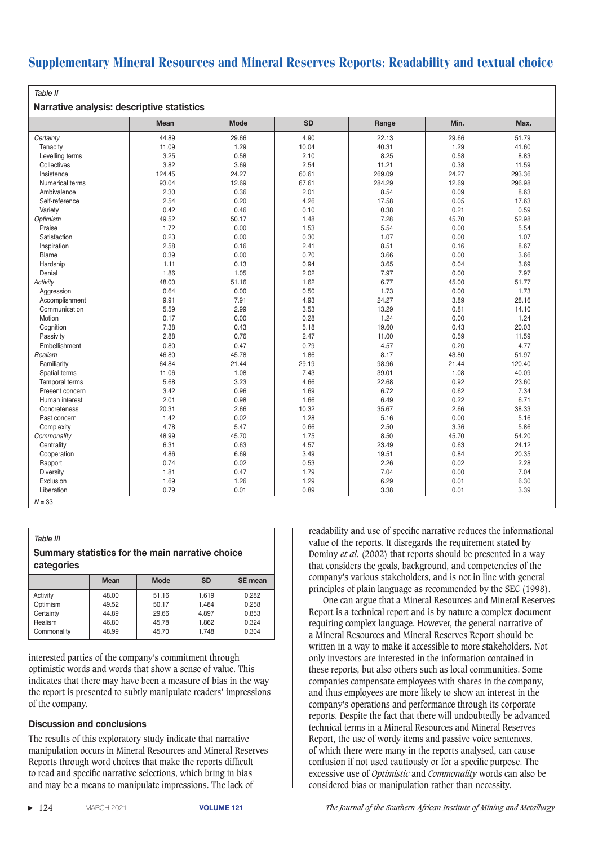#### *Table II*

 **Narrative analysis: descriptive statistics**

| Narrauve analysis: descriptive statistics |        |             |           |        |       |        |
|-------------------------------------------|--------|-------------|-----------|--------|-------|--------|
|                                           | Mean   | <b>Mode</b> | <b>SD</b> | Range  | Min.  | Max.   |
| Certainty                                 | 44.89  | 29.66       | 4.90      | 22.13  | 29.66 | 51.79  |
| Tenacity                                  | 11.09  | 1.29        | 10.04     | 40.31  | 1.29  | 41.60  |
| Levelling terms                           | 3.25   | 0.58        | 2.10      | 8.25   | 0.58  | 8.83   |
| Collectives                               | 3.82   | 3.69        | 2.54      | 11.21  | 0.38  | 11.59  |
| Insistence                                | 124.45 | 24.27       | 60.61     | 269.09 | 24.27 | 293.36 |
| Numerical terms                           | 93.04  | 12.69       | 67.61     | 284.29 | 12.69 | 296.98 |
| Ambivalence                               | 2.30   | 0.36        | 2.01      | 8.54   | 0.09  | 8.63   |
| Self-reference                            | 2.54   | 0.20        | 4.26      | 17.58  | 0.05  | 17.63  |
| Variety                                   | 0.42   | 0.46        | 0.10      | 0.38   | 0.21  | 0.59   |
| Optimism                                  | 49.52  | 50.17       | 1.48      | 7.28   | 45.70 | 52.98  |
| Praise                                    | 1.72   | 0.00        | 1.53      | 5.54   | 0.00  | 5.54   |
| Satisfaction                              | 0.23   | 0.00        | 0.30      | 1.07   | 0.00  | 1.07   |
| Inspiration                               | 2.58   | 0.16        | 2.41      | 8.51   | 0.16  | 8.67   |
| <b>Blame</b>                              | 0.39   | 0.00        | 0.70      | 3.66   | 0.00  | 3.66   |
| Hardship                                  | 1.11   | 0.13        | 0.94      | 3.65   | 0.04  | 3.69   |
| Denial                                    | 1.86   | 1.05        | 2.02      | 7.97   | 0.00  | 7.97   |
| Activity                                  | 48.00  | 51.16       | 1.62      | 6.77   | 45.00 | 51.77  |
| Aggression                                | 0.64   | 0.00        | 0.50      | 1.73   | 0.00  | 1.73   |
| Accomplishment                            | 9.91   | 7.91        | 4.93      | 24.27  | 3.89  | 28.16  |
| Communication                             | 5.59   | 2.99        | 3.53      | 13.29  | 0.81  | 14.10  |
| Motion                                    | 0.17   | 0.00        | 0.28      | 1.24   | 0.00  | 1.24   |
| Cognition                                 | 7.38   | 0.43        | 5.18      | 19.60  | 0.43  | 20.03  |
| Passivity                                 | 2.88   | 0.76        | 2.47      | 11.00  | 0.59  | 11.59  |
| Embellishment                             | 0.80   | 0.47        | 0.79      | 4.57   | 0.20  | 4.77   |
| Realism                                   | 46.80  | 45.78       | 1.86      | 8.17   | 43.80 | 51.97  |
| Familiarity                               | 64.84  | 21.44       | 29.19     | 98.96  | 21.44 | 120.40 |
| Spatial terms                             | 11.06  | 1.08        | 7.43      | 39.01  | 1.08  | 40.09  |
| Temporal terms                            | 5.68   | 3.23        | 4.66      | 22.68  | 0.92  | 23.60  |
| Present concern                           | 3.42   | 0.96        | 1.69      | 6.72   | 0.62  | 7.34   |
| Human interest                            | 2.01   | 0.98        | 1.66      | 6.49   | 0.22  | 6.71   |
| Concreteness                              | 20.31  | 2.66        | 10.32     | 35.67  | 2.66  | 38.33  |
| Past concern                              | 1.42   | 0.02        | 1.28      | 5.16   | 0.00  | 5.16   |
| Complexity                                | 4.78   | 5.47        | 0.66      | 2.50   | 3.36  | 5.86   |
| Commonality                               | 48.99  | 45.70       | 1.75      | 8.50   | 45.70 | 54.20  |
| Centrality                                | 6.31   | 0.63        | 4.57      | 23.49  | 0.63  | 24.12  |
| Cooperation                               | 4.86   | 6.69        | 3.49      | 19.51  | 0.84  | 20.35  |
| Rapport                                   | 0.74   | 0.02        | 0.53      | 2.26   | 0.02  | 2.28   |
| Diversity                                 | 1.81   | 0.47        | 1.79      | 7.04   | 0.00  | 7.04   |
| Exclusion                                 | 1.69   | 1.26        | 1.29      | 6.29   | 0.01  | 6.30   |
| Liberation                                | 0.79   | 0.01        | 0.89      | 3.38   | 0.01  | 3.39   |
| $N = 33$                                  |        |             |           |        |       |        |

 *Table III*

 **Summary statistics for the main narrative choice categories**

|             | <b>Mean</b> | Mode  | <b>SD</b> | <b>SE</b> mean |
|-------------|-------------|-------|-----------|----------------|
| Activity    | 48.00       | 51.16 | 1.619     | 0.282          |
| Optimism    | 49.52       | 50.17 | 1.484     | 0.258          |
| Certainty   | 44.89       | 29.66 | 4.897     | 0.853          |
| Realism     | 46.80       | 45.78 | 1.862     | 0.324          |
| Commonality | 48.99       | 45.70 | 1.748     | 0.304          |

interested parties of the company's commitment through optimistic words and words that show a sense of value. This indicates that there may have been a measure of bias in the way the report is presented to subtly manipulate readers' impressions of the company.

#### **Discussion and conclusions**

The results of this exploratory study indicate that narrative manipulation occurs in Mineral Resources and Mineral Reserves Reports through word choices that make the reports difficult to read and specific narrative selections, which bring in bias and may be a means to manipulate impressions. The lack of

readability and use of specific narrative reduces the informational value of the reports. It disregards the requirement stated by Dominy *et al*. (2002) that reports should be presented in a way that considers the goals, background, and competencies of the company's various stakeholders, and is not in line with general principles of plain language as recommended by the SEC (1998).

One can argue that a Mineral Resources and Mineral Reserves Report is a technical report and is by nature a complex document requiring complex language. However, the general narrative of a Mineral Resources and Mineral Reserves Report should be written in a way to make it accessible to more stakeholders. Not only investors are interested in the information contained in these reports, but also others such as local communities. Some companies compensate employees with shares in the company, and thus employees are more likely to show an interest in the company's operations and performance through its corporate reports. Despite the fact that there will undoubtedly be advanced technical terms in a Mineral Resources and Mineral Reserves Report, the use of wordy items and passive voice sentences, of which there were many in the reports analysed, can cause confusion if not used cautiously or for a specific purpose. The excessive use of *Optimistic* and *Commonality* words can also be considered bias or manipulation rather than necessity.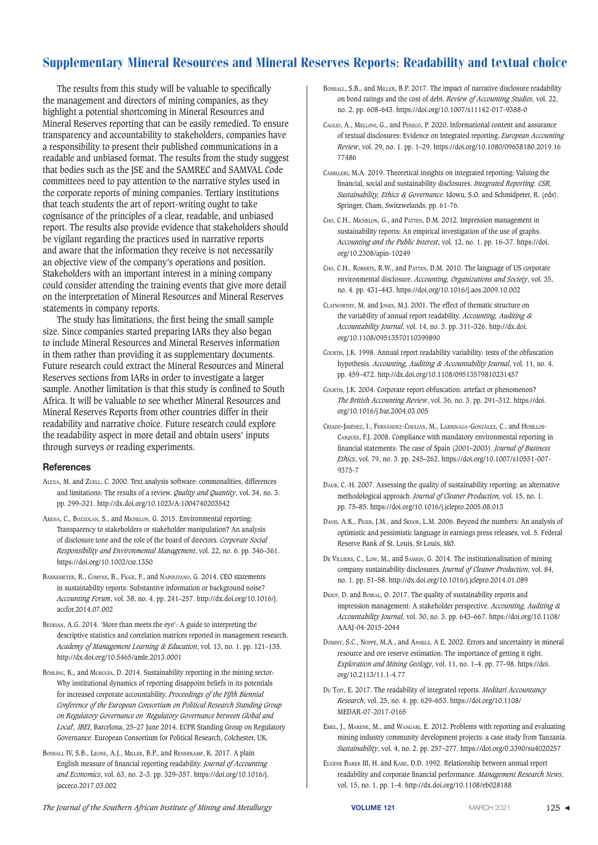The results from this study will be valuable to specifically the management and directors of mining companies, as they highlight a potential shortcoming in Mineral Resources and Mineral Reserves reporting that can be easily remedied. To ensure transparency and accountability to stakeholders, companies have a responsibility to present their published communications in a readable and unbiased format. The results from the study suggest that bodies such as the JSE and the SAMREC and SAMVAL Code committees need to pay attention to the narrative styles used in the corporate reports of mining companies. Tertiary institutions that teach students the art of report-writing ought to take cognisance of the principles of a clear, readable, and unbiased report. The results also provide evidence that stakeholders should be vigilant regarding the practices used in narrative reports and aware that the information they receive is not necessarily an objective view of the company's operations and position. Stakeholders with an important interest in a mining company could consider attending the training events that give more detail on the interpretation of Mineral Resources and Mineral Reserves statements in company reports.

The study has limitations, the first being the small sample size. Since companies started preparing IARs they also began to include Mineral Resources and Mineral Reserves information in them rather than providing it as supplementary documents. Future research could extract the Mineral Resources and Mineral Reserves sections from IARs in order to investigate a larger sample. Another limitation is that this study is confined to South Africa. It will be valuable to see whether Mineral Resources and Mineral Reserves Reports from other countries differ in their readability and narrative choice. Future research could explore the readability aspect in more detail and obtain users' inputs through surveys or reading experiments.

### **References**

- ALEXA, M. and ZUELL, C. 2000. Text analysis software: commonalities, differences and limitations: The results of a review. *Quality and Quantity*, vol. 34, no. 3. pp. 299–321. http://dx.doi.org/10.1023/A:1004740203542
- ARENA, C., BOZZOLAN, S., and MICHELON, G. 2015. Environmental reporting: Transparency to stakeholders or stakeholder manipulation? An analysis of disclosure tone and the role of the board of directors. *Corporate Social Responsibility and Environmental Management*, vol. 22, no. 6. pp. 346–361. https://doi.org/10.1002/csr.1350
- BARKEMEYER, R., COMYNS, B., FIGGE, F., and NAPOLITANO, G. 2014. CEO statements in sustainability reports: Substantive information or background noise? *Accounting Forum*, vol. 38, no. 4. pp. 241–257. http://dx.doi.org/10.1016/j. accfor.2014.07.002
- BEDEIAN, A.G. 2014. 'More than meets the eye': A guide to interpreting the descriptive statistics and correlation matrices reported in management research. *Academy of Management Learning & Education*, vol. 13, no. 1. pp. 121–135. http://dx.doi.org/10.5465/amle.2013.0001
- BÖHLING, K., and MURGUÍA, D. 2014. Sustainability reporting in the mining sector: Why institutional dynamics of reporting disappoint beliefs in its potentials for increased corporate accountability. *Proceedings of the Fifth Biennial Conference of the European Consortium on Political Research Standing Group on Regulatory Governance on 'Regulatory Governance between Global and Local', IBEI*, Barcelona, 25–27 June 2014. ECPR Standing Group on Regulatory Governance. European Consortium for Political Research, Colchester, UK.
- BONSALL IV, S.B., LEONE, A.J., MILLER, B.P., and RENNEKAMP, K. 2017. A plain English measure of financial reporting readability. *Journal of Accounting and Economics*, vol. 63, no. 2–3. pp. 329–357. https://doi.org/10.1016/j. jacceco.2017.03.002
- BONSALL, S.B., and MILLER, B.P. 2017. The impact of narrative disclosure readability on bond ratings and the cost of debt. *Review of Accounting Studies*, vol. 22, no. 2. pp. 608–643. https://doi.org/10.1007/s11142-017-9388-0
- Caglio, A., Melloni, G., and Perego, P. 2020. Informational content and assurance of textual disclosures: Evidence on Integrated reporting. *European Accounting Review*, vol. 29, no. 1. pp. 1–29. https://doi.org/10.1080/09638180.2019.16 77486
- Camilleri, M.A. 2019. Theoretical insights on integrated reporting: Valuing the financial, social and sustainability disclosures. *Integrated Reporting. CSR, Sustainability, Ethics & Governance*. Idowu, S.O. and Schmidpeter, R. (eds). Springer, Cham, Switzwelands. pp. 61-76.
- CHO, C.H., MICHELON, G., and PATTEN, D.M. 2012. Impression management in sustainability reports: An empirical investigation of the use of graphs. *Accounting and the Public Interest*, vol. 12, no. 1. pp. 16–37. https://doi. org/10.2308/apin-10249
- Cho, C.H., Roberts, R.W., and Patten, D.M. 2010. The language of US corporate environmental disclosure. *Accounting, Organizations and Society*, vol. 35, no. 4. pp. 431–443. https://doi.org/10.1016/j.aos.2009.10.002
- Clatworthy, M. and Jones, M.J. 2001. The effect of thematic structure on the variability of annual report readability. *Accounting, Auditing & Accountability Journal*, vol. 14, no. 3. pp. 311–326. http://dx.doi. org/10.1108/09513570110399890
- Courtis, J.K. 1998. Annual report readability variability: tests of the obfuscation hypothesis. *Accounting, Auditing & Accountability Journal*, vol. 11, no. 4. pp. 459–472. http://dx.doi.org/10.1108/09513579810231457
- Courtis, J.K. 2004. Corporate report obfuscation: artefact or phenomenon? *The British Accounting Review*, vol. 36, no. 3. pp. 291–312. https://doi. org/10.1016/j.bar.2004.03.005
- Criado-Jiménez, I., Fernández-Chulián, M., Larrinaga-González, C., and Husillos-CAROUÉS, F.J. 2008. Compliance with mandatory environmental reporting in financial statements: The case of Spain (2001–2003). *Journal of Business Ethics*, vol. 79, no. 3. pp. 245–262. https://doi.org/10.1007/s10551-007- 9375-7
- Daub, C.-H. 2007. Assessing the quality of sustainability reporting: an alternative methodological approach. *Journal of Cleaner Production,* vol. 15, no. 1. pp. 75–85. https://doi.org/10.1016/j.jclepro.2005.08.013
- DAVIS, A.K., PIGER, J.M., and SEDOR, L.M. 2006. Beyond the numbers: An analysis of optimistic and pessimistic language in earnings press releases, vol. 5. Federal Reserve Bank of St. Louis, St Louis, MO.
- De Villiers, C., Low, M., and Samkin, G. 2014. The institutionalisation of mining company sustainability disclosures. *Journal of Cleaner Production*, vol. 84, no. 1. pp. 51–58. http://dx.doi.org/10.1016/j.jclepro.2014.01.089
- DIOUF, D. and BOIRAL, O. 2017. The quality of sustainability reports and impression management: A stakeholder perspective. *Accounting, Auditing & Accountability Journal*, vol. 30, no. 3. pp. 643–667. https://doi.org/10.1108/ AAAJ-04-2015-2044
- Dominy, S.C., Noppé, M.A., and Annels, A E. 2002. Errors and uncertainty in mineral resource and ore reserve estimation: The importance of getting it right. *Exploration and Mining Geology*, vol. 11, no. 1–4. pp. 77–98. https://doi. org/10.2113/11.1-4.77
- Du Torr, E. 2017. The readability of integrated reports. *Meditari Accountancy Research*, vol. 25, no. 4. pp. 629–653. https://doi.org/10.1108/ MEDAR-07-2017-0165
- Emel, J., Makene, M., and Wangari, E. 2012. Problems with reporting and evaluating mining industry community development projects: a case study from Tanzania. *Sustainability*, vol. 4, no. 2. pp. 257–277. https://doi.org/0.3390/su4020257
- Eugene Baker III, H. and Kare, D.D. 1992. Relationship between annual report readability and corporate financial performance. *Management Research News*, vol. 15, no. 1. pp. 1–4. http://dx.doi.org/10.1108/eb028188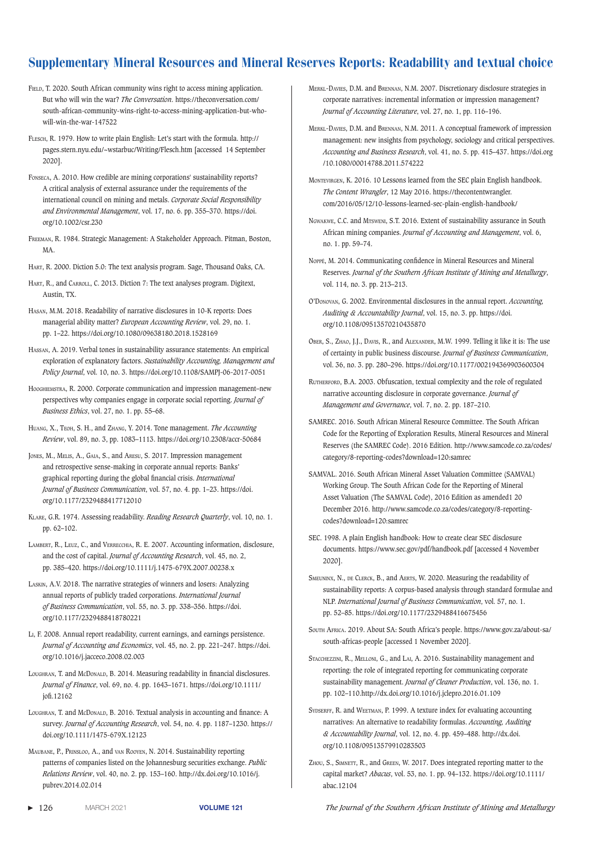- FIELD, T. 2020. South African community wins right to access mining application. But who will win the war? *The Conversation*. https://theconversation.com/ south-african-community-wins-right-to-access-mining-application-but-whowill-win-the-war-147522
- Flesch, R. 1979. How to write plain English: Let's start with the formula. http:// pages.stern.nyu.edu/~wstarbuc/Writing/Flesch.htm [accessed 14 September 2020].
- Fonseca, A. 2010. How credible are mining corporations' sustainability reports? A critical analysis of external assurance under the requirements of the international council on mining and metals. *Corporate Social Responsibility and Environmental Management*, vol. 17, no. 6. pp. 355–370. https://doi. org/10.1002/csr.230
- Freeman, R. 1984. Strategic Management: A Stakeholder Approach. Pitman, Boston, MA.
- Hart, R. 2000. Diction 5.0: The text analysis program. Sage, Thousand Oaks, CA.
- HART, R., and CARROLL, C. 2013. Diction 7: The text analyses program. Digitext, Austin, TX.
- Hasan, M.M. 2018. Readability of narrative disclosures in 10-K reports: Does managerial ability matter? *European Accounting Review*, vol. 29, no. 1. pp. 1–22. https://doi.org/10.1080/09638180.2018.1528169
- Hassan, A. 2019. Verbal tones in sustainability assurance statements: An empirical exploration of explanatory factors. *Sustainability Accounting, Management and Policy Journal*, vol. 10, no. 3. https://doi.org/10.1108/SAMPJ-06-2017-0051
- Hooghiemstra, R. 2000. Corporate communication and impression management–new perspectives why companies engage in corporate social reporting. *Journal of Business Ethics*, vol. 27, no. 1. pp. 55–68.
- Huang, X., Teoh, S. H., and Zhang, Y. 2014. Tone management. *The Accounting Review*, vol. 89, no. 3, pp. 1083–1113. https://doi.org/10.2308/accr-50684
- JONES, M., MELIS, A., GAIA, S., and ARESU, S. 2017. Impression management and retrospective sense-making in corporate annual reports: Banks' graphical reporting during the global financial crisis. *International Journal of Business Communication*, vol. 57, no. 4. pp. 1–23. https://doi. org/10.1177/2329488417712010
- Klare, G.R. 1974. Assessing readability. *Reading Research Quarterly*, vol. 10, no. 1. pp. 62–102.
- Lambert, R., Leuz, C., and Verrecchia, R. E. 2007. Accounting information, disclosure, and the cost of capital. *Journal of Accounting Research*, vol. 45, no. 2, pp. 385–420. https://doi.org/10.1111/j.1475-679X.2007.00238.x
- Laskin, A.V. 2018. The narrative strategies of winners and losers: Analyzing annual reports of publicly traded corporations. *International Journal of Business Communication*, vol. 55, no. 3. pp. 338–356. https://doi. org/10.1177/2329488418780221
- Li, F. 2008. Annual report readability, current earnings, and earnings persistence. *Journal of Accounting and Economics*, vol. 45, no. 2. pp. 221–247. https://doi. org/10.1016/j.jacceco.2008.02.003
- LOUGHRAN, T. and McDONALD, B. 2014. Measuring readability in financial disclosures. *Journal of Finance*, vol. 69, no. 4. pp. 1643–1671. https://doi.org/10.1111/ jofi.12162
- LOUGHRAN, T. and McDONALD, B. 2016. Textual analysis in accounting and finance: A survey. *Journal of Accounting Research*, vol. 54, no. 4. pp. 1187–1230. https:// doi.org/10.1111/1475-679X.12123
- Maubane, P., Prinsloo, A., and van Rooyen, N. 2014. Sustainability reporting patterns of companies listed on the Johannesburg securities exchange. *Public Relations Review*, vol. 40, no. 2. pp. 153–160. http://dx.doi.org/10.1016/j. pubrev.2014.02.014
- 
- Merkl-Davies, D.M. and Brennan, N.M. 2007. Discretionary disclosure strategies in corporate narratives: incremental information or impression management? *Journal of Accounting Literature*, vol. 27, no. 1, pp. 116–196.
- Merkl-Davies, D.M. and Brennan, N.M. 2011. A conceptual framework of impression management: new insights from psychology, sociology and critical perspectives. *Accounting and Business Research*, vol. 41, no. 5. pp. 415–437. https://doi.org /10.1080/00014788.2011.574222
- MONTEVIRGEN, K. 2016. 10 Lessons learned from the SEC plain English handbook. *The Content Wrangler*, 12 May 2016. https://thecontentwrangler. com/2016/05/12/10-lessons-learned-sec-plain-english-handbook/
- NGWAKWE, C.C. and MTSWENI, S.T. 2016. Extent of sustainability assurance in South African mining companies. *Journal of Accounting and Management*, vol. 6, no. 1. pp. 59–74.
- Noppé, M. 2014. Communicating confidence in Mineral Resources and Mineral Reserves. *Journal of the Southern African Institute of Mining and Metallurgy*, vol. 114, no. 3. pp. 213–213.
- O'Donovan, G. 2002. Environmental disclosures in the annual report. *Accounting, Auditing & Accountability Journal*, vol. 15, no. 3. pp. https://doi. org/10.1108/09513570210435870
- Ober, S., Zhao, J.J., Davis, R., and Alexander, M.W. 1999. Telling it like it is: The use of certainty in public business discourse. *Journal of Business Communication*, vol. 36, no. 3. pp. 280–296. https://doi.org/10.1177/002194369903600304
- RUTHERFORD, B.A. 2003. Obfuscation, textual complexity and the role of regulated narrative accounting disclosure in corporate governance. *Journal of Management and Governance*, vol. 7, no. 2. pp. 187–210.
- SAMREC. 2016. South African Mineral Resource Committee. The South African Code for the Reporting of Exploration Results, Mineral Resources and Mineral Reserves (the SAMREC Code). 2016 Edition. http://www.samcode.co.za/codes/ category/8-reporting-codes?download=120:samrec
- SAMVAL. 2016. South African Mineral Asset Valuation Committee (SAMVAL) Working Group. The South African Code for the Reporting of Mineral Asset Valuation (The SAMVAL Code), 2016 Edition as amended1 20 December 2016. http://www.samcode.co.za/codes/category/8-reportingcodes?download=120:samrec
- SEC. 1998. A plain English handbook: How to create clear SEC disclosure documents. https://www.sec.gov/pdf/handbook.pdf [accessed 4 November 2020].
- SMEUNINX, N., DE CLERCK, B., and AERTS, W. 2020. Measuring the readability of sustainability reports: A corpus-based analysis through standard formulae and NLP. *International Journal of Business Communication*, vol. 57, no. 1. pp. 52–85. https://doi.org/10.1177/2329488416675456
- South Africa. 2019. About SA: South Africa's people. https://www.gov.za/about-sa/ south-africas-people [accessed 1 November 2020].
- Stacchezzini, R., Melloni, G., and Lai, A. 2016. Sustainability management and reporting: the role of integrated reporting for communicating corporate sustainability management. *Journal of Cleaner Production*, vol. 136, no. 1. pp. 102–110.http://dx.doi.org/10.1016/j.jclepro.2016.01.109
- SYDSERFF, R. and WEETMAN, P. 1999. A texture index for evaluating accounting narratives: An alternative to readability formulas. *Accounting, Auditing & Accountability Journal*, vol. 12, no. 4. pp. 459–488. http://dx.doi. org/10.1108/09513579910283503
- ZHOU, S., SIMNETT, R., and GREEN, W. 2017. Does integrated reporting matter to the capital market? *Abacus*, vol. 53, no. 1. pp. 94–132. https://doi.org/10.1111/ abac.12104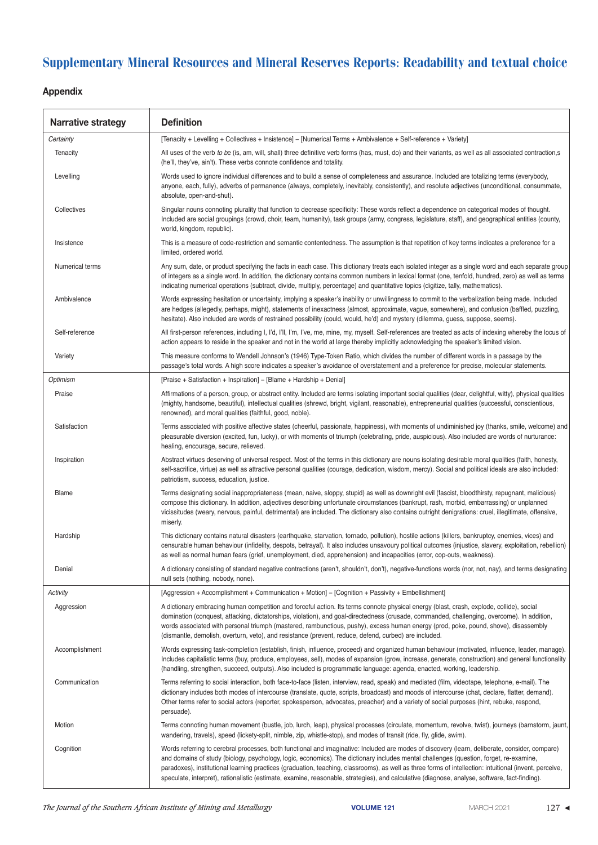### **Appendix**

| <b>Narrative strategy</b> | <b>Definition</b>                                                                                                                                                                                                                                                                                                                                                                                                                                                                                                                                                                                     |
|---------------------------|-------------------------------------------------------------------------------------------------------------------------------------------------------------------------------------------------------------------------------------------------------------------------------------------------------------------------------------------------------------------------------------------------------------------------------------------------------------------------------------------------------------------------------------------------------------------------------------------------------|
| Certainty                 | [Tenacity + Levelling + Collectives + Insistence] - [Numerical Terms + Ambivalence + Self-reference + Variety]                                                                                                                                                                                                                                                                                                                                                                                                                                                                                        |
| Tenacity                  | All uses of the verb to be (is, am, will, shall) three definitive verb forms (has, must, do) and their variants, as well as all associated contraction,s<br>(he'll, they've, ain't). These verbs connote confidence and totality.                                                                                                                                                                                                                                                                                                                                                                     |
| Levelling                 | Words used to ignore individual differences and to build a sense of completeness and assurance. Included are totalizing terms (everybody,<br>anyone, each, fully), adverbs of permanence (always, completely, inevitably, consistently), and resolute adjectives (unconditional, consummate,<br>absolute, open-and-shut).                                                                                                                                                                                                                                                                             |
| Collectives               | Singular nouns connoting plurality that function to decrease specificity: These words reflect a dependence on categorical modes of thought.<br>Included are social groupings (crowd, choir, team, humanity), task groups (army, congress, legislature, staff), and geographical entities (county,<br>world, kingdom, republic).                                                                                                                                                                                                                                                                       |
| Insistence                | This is a measure of code-restriction and semantic contentedness. The assumption is that repetition of key terms indicates a preference for a<br>limited, ordered world.                                                                                                                                                                                                                                                                                                                                                                                                                              |
| Numerical terms           | Any sum, date, or product specifying the facts in each case. This dictionary treats each isolated integer as a single word and each separate group<br>of integers as a single word. In addition, the dictionary contains common numbers in lexical format (one, tenfold, hundred, zero) as well as terms<br>indicating numerical operations (subtract, divide, multiply, percentage) and quantitative topics (digitize, tally, mathematics).                                                                                                                                                          |
| Ambivalence               | Words expressing hesitation or uncertainty, implying a speaker's inability or unwillingness to commit to the verbalization being made. Included<br>are hedges (allegedly, perhaps, might), statements of inexactness (almost, approximate, vague, somewhere), and confusion (baffled, puzzling,<br>hesitate). Also included are words of restrained possibility (could, would, he'd) and mystery (dilemma, guess, suppose, seems).                                                                                                                                                                    |
| Self-reference            | All first-person references, including I, I'd, I'll, I'm, I've, me, mine, my, myself. Self-references are treated as acts of indexing whereby the locus of<br>action appears to reside in the speaker and not in the world at large thereby implicitly acknowledging the speaker's limited vision.                                                                                                                                                                                                                                                                                                    |
| Variety                   | This measure conforms to Wendell Johnson's (1946) Type-Token Ratio, which divides the number of different words in a passage by the<br>passage's total words. A high score indicates a speaker's avoidance of overstatement and a preference for precise, molecular statements.                                                                                                                                                                                                                                                                                                                       |
| Optimism                  | [Praise + Satisfaction + Inspiration] - [Blame + Hardship + Denial]                                                                                                                                                                                                                                                                                                                                                                                                                                                                                                                                   |
| Praise                    | Affirmations of a person, group, or abstract entity. Included are terms isolating important social qualities (dear, delightful, witty), physical qualities<br>(mighty, handsome, beautiful), intellectual qualities (shrewd, bright, vigilant, reasonable), entrepreneurial qualities (successful, conscientious,<br>renowned), and moral qualities (faithful, good, noble).                                                                                                                                                                                                                          |
| Satisfaction              | Terms associated with positive affective states (cheerful, passionate, happiness), with moments of undiminished joy (thanks, smile, welcome) and<br>pleasurable diversion (excited, fun, lucky), or with moments of triumph (celebrating, pride, auspicious). Also included are words of nurturance:<br>healing, encourage, secure, relieved.                                                                                                                                                                                                                                                         |
| Inspiration               | Abstract virtues deserving of universal respect. Most of the terms in this dictionary are nouns isolating desirable moral qualities (faith, honesty,<br>self-sacrifice, virtue) as well as attractive personal qualities (courage, dedication, wisdom, mercy). Social and political ideals are also included:<br>patriotism, success, education, justice.                                                                                                                                                                                                                                             |
| Blame                     | Terms designating social inappropriateness (mean, naive, sloppy, stupid) as well as downright evil (fascist, bloodthirsty, repugnant, malicious)<br>compose this dictionary. In addition, adjectives describing unfortunate circumstances (bankrupt, rash, morbid, embarrassing) or unplanned<br>vicissitudes (weary, nervous, painful, detrimental) are included. The dictionary also contains outright denigrations: cruel, illegitimate, offensive,<br>miserly.                                                                                                                                    |
| Hardship                  | This dictionary contains natural disasters (earthquake, starvation, tornado, pollution), hostile actions (killers, bankruptcy, enemies, vices) and<br>censurable human behaviour (infidelity, despots, betrayal). It also includes unsavoury political outcomes (injustice, slavery, exploitation, rebellion)<br>as well as normal human fears (grief, unemployment, died, apprehension) and incapacities (error, cop-outs, weakness).                                                                                                                                                                |
| Denial                    | A dictionary consisting of standard negative contractions (aren't, shouldn't, don't), negative-functions words (nor, not, nay), and terms designating<br>null sets (nothing, nobody, none).                                                                                                                                                                                                                                                                                                                                                                                                           |
| Activity                  | [Aggression + Accomplishment + Communication + Motion] – [Cognition + Passivity + Embellishment]                                                                                                                                                                                                                                                                                                                                                                                                                                                                                                      |
| Aggression                | A dictionary embracing human competition and forceful action. Its terms connote physical energy (blast, crash, explode, collide), social<br>domination (conquest, attacking, dictatorships, violation), and goal-directedness (crusade, commanded, challenging, overcome). In addition,<br>words associated with personal triumph (mastered, rambunctious, pushy), excess human energy (prod, poke, pound, shove), disassembly<br>(dismantle, demolish, overturn, veto), and resistance (prevent, reduce, defend, curbed) are included.                                                               |
| Accomplishment            | Words expressing task-completion (establish, finish, influence, proceed) and organized human behaviour (motivated, influence, leader, manage).<br>Includes capitalistic terms (buy, produce, employees, sell), modes of expansion (grow, increase, generate, construction) and general functionality<br>(handling, strengthen, succeed, outputs). Also included is programmatic language: agenda, enacted, working, leadership.                                                                                                                                                                       |
| Communication             | Terms referring to social interaction, both face-to-face (listen, interview, read, speak) and mediated (film, videotape, telephone, e-mail). The<br>dictionary includes both modes of intercourse (translate, quote, scripts, broadcast) and moods of intercourse (chat, declare, flatter, demand).<br>Other terms refer to social actors (reporter, spokesperson, advocates, preacher) and a variety of social purposes (hint, rebuke, respond,<br>persuade).                                                                                                                                        |
| Motion                    | Terms connoting human movement (bustle, job, lurch, leap), physical processes (circulate, momentum, revolve, twist), journeys (barnstorm, jaunt,<br>wandering, travels), speed (lickety-split, nimble, zip, whistle-stop), and modes of transit (ride, fly, glide, swim).                                                                                                                                                                                                                                                                                                                             |
| Cognition                 | Words referring to cerebral processes, both functional and imaginative: Included are modes of discovery (learn, deliberate, consider, compare)<br>and domains of study (biology, psychology, logic, economics). The dictionary includes mental challenges (question, forget, re-examine,<br>paradoxes), institutional learning practices (graduation, teaching, classrooms), as well as three forms of intellection: intuitional (invent, perceive,<br>speculate, interpret), rationalistic (estimate, examine, reasonable, strategies), and calculative (diagnose, analyse, software, fact-finding). |